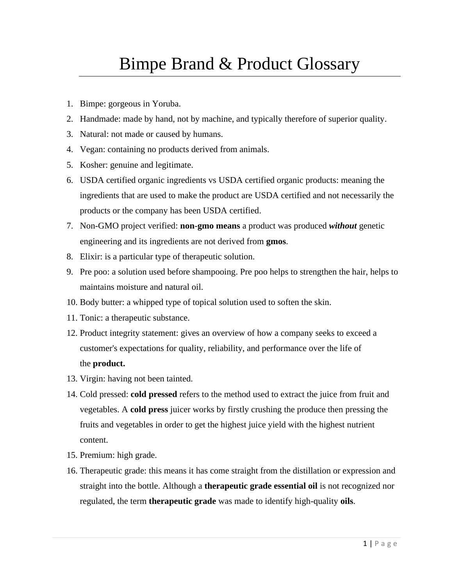## Bimpe Brand & Product Glossary

- 1. Bimpe: gorgeous in Yoruba.
- 2. Handmade: made by hand, not by machine, and typically therefore of superior quality.
- 3. Natural: not made or caused by humans.
- 4. Vegan: containing no products derived from animals.
- 5. Kosher: genuine and legitimate.
- 6. USDA certified organic ingredients vs USDA certified organic products: meaning the ingredients that are used to make the product are USDA certified and not necessarily the products or the company has been USDA certified.
- 7. Non-GMO project verified: **non**-**gmo means** a product was produced *without* genetic engineering and its ingredients are not derived from **gmos**.
- 8. Elixir: is a particular type of therapeutic solution.
- 9. Pre poo: a solution used before shampooing. Pre poo helps to strengthen the hair, helps to maintains moisture and natural oil.
- 10. Body butter: a whipped type of topical solution used to soften the skin.
- 11. Tonic: a therapeutic substance.
- 12. Product integrity statement: gives an overview of how a company seeks to exceed a customer's expectations for quality, reliability, and performance over the life of the **product.**
- 13. Virgin: having not been tainted.
- 14. Cold pressed: **cold pressed** refers to the method used to extract the juice from fruit and vegetables. A **cold press** juicer works by firstly crushing the produce then pressing the fruits and vegetables in order to get the highest juice yield with the highest nutrient content.
- 15. Premium: high grade.
- 16. Therapeutic grade: this means it has come straight from the distillation or expression and straight into the bottle. Although a **therapeutic grade essential oil** is not recognized nor regulated, the term **therapeutic grade** was made to identify high-quality **oils**.